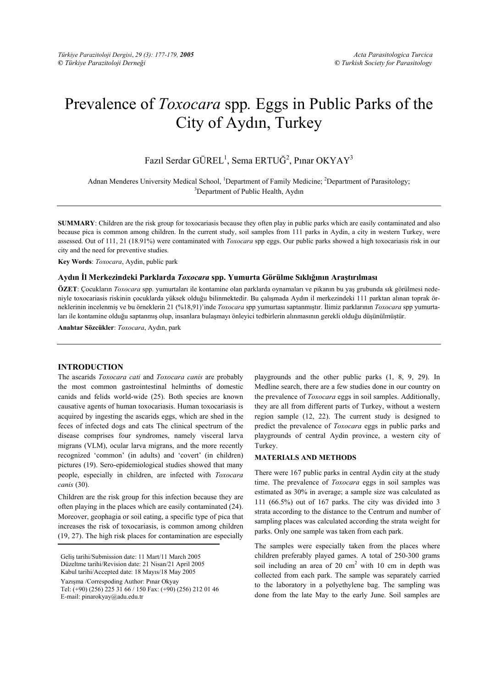# Prevalence of *Toxocara* spp*.* Eggs in Public Parks of the City of Aydın, Turkey

Fazıl Serdar GÜREL<sup>1</sup>, Sema ERTUĞ<sup>2</sup>, Pınar OKYAY<sup>3</sup>

Adnan Menderes University Medical School, <sup>1</sup>Department of Family Medicine; <sup>2</sup>Department of Parasitology;<br><sup>3</sup>Department of Public Health, Aydın <sup>3</sup>Department of Public Health, Aydın

**SUMMARY**: Children are the risk group for toxocariasis because they often play in public parks which are easily contaminated and also because pica is common among children. In the current study, soil samples from 111 parks in Aydin, a city in western Turkey, were assessed. Out of 111, 21 (18.91%) were contaminated with *Toxocara* spp eggs. Our public parks showed a high toxocariasis risk in our city and the need for preventive studies.

**Key Words**: *Toxocara*, Aydin, public park

#### **Aydın İl Merkezindeki Parklarda** *Toxocara* **spp. Yumurta Görülme Sıklığının Araştırılması**

**ÖZET**: Çocukların *Toxocara* spp. yumurtaları ile kontamine olan parklarda oynamaları ve pikanın bu yaş grubunda sık görülmesi nedeniyle toxocariasis riskinin çocuklarda yüksek olduğu bilinmektedir. Bu çalışmada Aydın il merkezindeki 111 parktan alınan toprak örneklerinin incelenmiş ve bu örneklerin 21 (%18,91)'inde *Toxocara* spp yumurtası saptanmıştır. İlimiz parklarının *Toxocara* spp yumurtaları ile kontamine olduğu saptanmış olup, insanlara bulaşmayı önleyici tedbirlerin alınmasının gerekli olduğu düşünülmüştür.

**Anahtar Sözcükler**: *Toxocara*, Aydın, park

### **INTRODUCTION**

The ascarids *Toxocara cati* and *Toxocara canis* are probably the most common gastrointestinal helminths of domestic canids and felids world-wide (25). Both species are known causative agents of human toxocariasis. Human toxocariasis is acquired by ingesting the ascarids eggs, which are shed in the feces of infected dogs and cats The clinical spectrum of the disease comprises four syndromes, namely visceral larva migrans (VLM), ocular larva migrans, and the more recently recognized 'common' (in adults) and 'covert' (in children) pictures (19). Sero-epidemiological studies showed that many people, especially in children, are infected with *Toxocara canis* (30).

Children are the risk group for this infection because they are often playing in the places which are easily contaminated (24). Moreover, geophagia or soil eating, a specific type of pica that increases the risk of toxocariasis, is common among children (19, 27). The high risk places for contamination are especially

Yazışma /Correspoding Author: Pınar Okyay

playgrounds and the other public parks (1, 8, 9, 29). In Medline search, there are a few studies done in our country on the prevalence of *Toxocara* eggs in soil samples. Additionally, they are all from different parts of Turkey, without a western region sample (12, 22). The current study is designed to predict the prevalence of *Toxocara* eggs in public parks and playgrounds of central Aydin province, a western city of Turkey.

#### **MATERIALS AND METHODS**

There were 167 public parks in central Aydin city at the study time. The prevalence of *Toxocara* eggs in soil samples was estimated as 30% in average; a sample size was calculated as 111 (66.5%) out of 167 parks. The city was divided into 3 strata according to the distance to the Centrum and number of sampling places was calculated according the strata weight for parks. Only one sample was taken from each park.

The samples were especially taken from the places where children preferably played games. A total of 250-300 grams soil including an area of 20  $\text{cm}^2$  with 10  $\text{cm}$  in depth was collected from each park. The sample was separately carried to the laboratory in a polyethylene bag. The sampling was done from the late May to the early June. Soil samples are

Geliş tarihi/Submission date: 11 Mart/11 March 2005 Düzeltme tarihi/Revision date: 21 Nisan/21 April 2005 Kabul tarihi/Accepted date: 18 Mayıs/18 May 2005

Tel: (+90) (256) 225 31 66 / 150 Fax: (+90) (256) 212 01 46 E-mail: pinarokyay@adu.edu.tr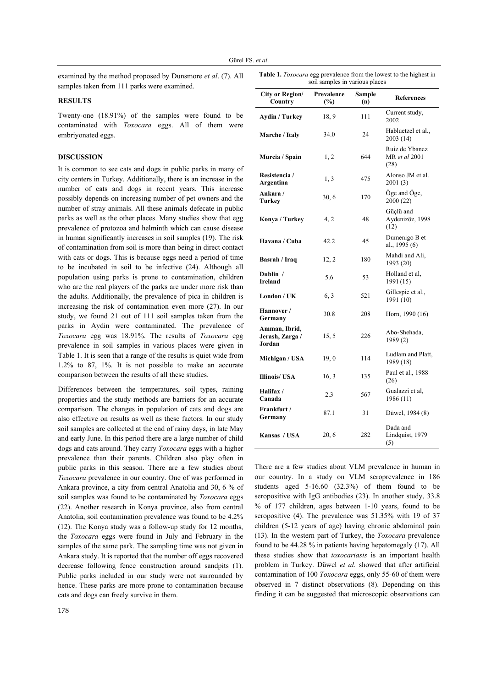examined by the method proposed by Dunsmore *et al*. (7). All samples taken from 111 parks were examined.

#### **RESULTS**

Twenty-one (18.91%) of the samples were found to be contaminated with *Toxocara* eggs. All of them were embriyonated eggs.

## **DISCUSSION**

It is common to see cats and dogs in public parks in many of city centers in Turkey. Additionally, there is an increase in the number of cats and dogs in recent years. This increase possibly depends on increasing number of pet owners and the number of stray animals. All these animals defecate in public parks as well as the other places. Many studies show that egg prevalence of protozoa and helminth which can cause disease in human significantly increases in soil samples (19). The risk of contamination from soil is more than being in direct contact with cats or dogs. This is because eggs need a period of time to be incubated in soil to be infective (24). Although all population using parks is prone to contamination, children who are the real players of the parks are under more risk than the adults. Additionally, the prevalence of pica in children is increasing the risk of contamination even more (27). In our study, we found 21 out of 111 soil samples taken from the parks in Aydin were contaminated. The prevalence of *Toxocara* egg was 18.91%. The results of *Toxocara* egg prevalence in soil samples in various places were given in Table 1. It is seen that a range of the results is quiet wide from 1.2% to 87, 1%. It is not possible to make an accurate comparison between the results of all these studies.

Differences between the temperatures, soil types, raining properties and the study methods are barriers for an accurate comparison. The changes in population of cats and dogs are also effective on results as well as these factors. In our study soil samples are collected at the end of rainy days, in late May and early June. In this period there are a large number of child dogs and cats around. They carry *Toxocara* eggs with a higher prevalence than their parents. Children also play often in public parks in this season. There are a few studies about *Toxocara* prevalence in our country. One of was performed in Ankara province, a city from central Anatolia and 30, 6 % of soil samples was found to be contaminated by *Toxocara* eggs (22). Another research in Konya province, also from central Anatolia, soil contamination prevalence was found to be 4.2% (12). The Konya study was a follow-up study for 12 months, the *Toxocara* eggs were found in July and February in the samples of the same park. The sampling time was not given in Ankara study. It is reported that the number off eggs recovered decrease following fence construction around sandpits (1). Public parks included in our study were not surrounded by hence. These parks are more prone to contamination because cats and dogs can freely survive in them.

| <b>City or Region/</b><br>Country                 | Prevalence<br>(%) | <b>Sample</b><br>(n) | <b>References</b>                       |
|---------------------------------------------------|-------------------|----------------------|-----------------------------------------|
| <b>Aydin / Turkey</b>                             | 18, 9             | 111                  | Current study,<br>2002                  |
| Marche / Italy                                    | 34.0              | 24                   | Habluetzel et al.,<br>2003 (14)         |
| Murcia / Spain                                    | 1, 2              | 644                  | Ruiz de Ybanez<br>MR et al 2001<br>(28) |
| Resistencia /<br>Argentina                        | 1, 3              | 475                  | Alonso JM et al.<br>2001(3)             |
| Ankara/<br>Turkey                                 | 30, 6             | 170                  | Öge and Öge,<br>2000 (22)               |
| Konya / Turkey                                    | 4, 2              | 48                   | Güçlü and<br>Aydenizöz, 1998<br>(12)    |
| Havana / Cuba                                     | 42.2              | 45                   | Dumenigo B et<br>al., 1995 (6)          |
| Basrah / Iraq                                     | 12, 2             | 180                  | Mahdi and Ali,<br>1993 (20)             |
| Dublin /<br><b>Ireland</b>                        | 5.6               | 53                   | Holland et al,<br>1991(15)              |
| London / UK                                       | 6, 3              | 521                  | Gillespie et al.,<br>1991 (10)          |
| Hannover /<br>Germany                             | 30.8              | 208                  | Horn, 1990 (16)                         |
| Amman, Ibrid,<br>Jerash, Zarga /<br><b>Jordan</b> | 15,5              | 226                  | Abo-Shehada,<br>1989(2)                 |
| Michigan / USA                                    | 19,0              | 114                  | Ludlam and Platt,<br>1989 (18)          |
| Illinois/ USA                                     | 16, 3             | 135                  | Paul et al., 1988<br>(26)               |
| Halifax/<br>Canada                                | 2.3               | 567                  | Gualazzi et al,<br>1986 (11)            |
| Frankfurt /<br>Germany                            | 87.1              | 31                   | Düwel, 1984 (8)                         |
| Kansas / USA                                      | 20, 6             | 282                  | Dada and<br>Lindquist, 1979<br>(5)      |

**Table 1.** *Toxocara* egg prevalence from the lowest to the highest in soil samples in various places

There are a few studies about VLM prevalence in human in our country. In a study on VLM seroprevalence in 186 students aged 5-16.60 (32.3%) of them found to be seropositive with IgG antibodies (23). In another study, 33.8 % of 177 children, ages between 1-10 years, found to be seropositive (4). The prevalence was 51.35% with 19 of 37 children (5-12 years of age) having chronic abdominal pain (13). In the western part of Turkey, the *Toxocara* prevalence found to be 44.28 % in patients having hepatomegaly (17). All these studies show that *toxocariasis* is an important health problem in Turkey. Düwel *et al.* showed that after artificial contamination of 100 *Toxocara* eggs, only 55-60 of them were observed in 7 distinct observations (8). Depending on this finding it can be suggested that microscopic observations can